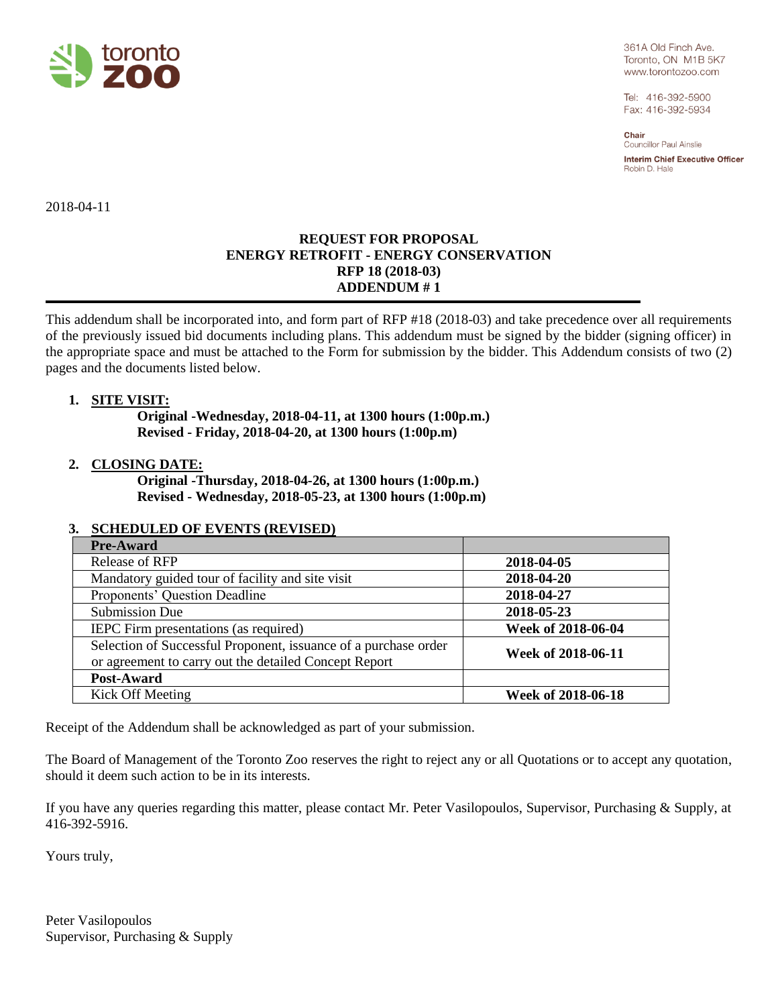

361A Old Finch Ave. Toronto, ON M1B 5K7 www.torontozoo.com

Tel: 416-392-5900 Fax: 416-392-5934

Chair **Councillor Paul Ainslie** 

Interim Chief Executive Officer Robin D. Hale

2018-04-11

## **REQUEST FOR PROPOSAL ENERGY RETROFIT - ENERGY CONSERVATION RFP 18 (2018-03) ADDENDUM # 1**

This addendum shall be incorporated into, and form part of RFP #18 (2018-03) and take precedence over all requirements of the previously issued bid documents including plans. This addendum must be signed by the bidder (signing officer) in the appropriate space and must be attached to the Form for submission by the bidder. This Addendum consists of two (2) pages and the documents listed below.

## **1. SITE VISIT:**

**Original -Wednesday, 2018-04-11, at 1300 hours (1:00p.m.) Revised - Friday, 2018-04-20, at 1300 hours (1:00p.m)**

## **2. CLOSING DATE:**

**Original -Thursday, 2018-04-26, at 1300 hours (1:00p.m.) Revised - Wednesday, 2018-05-23, at 1300 hours (1:00p.m)**

## **3. SCHEDULED OF EVENTS (REVISED)**

| <b>Pre-Award</b>                                                                                                         |                    |
|--------------------------------------------------------------------------------------------------------------------------|--------------------|
| Release of RFP                                                                                                           | 2018-04-05         |
| Mandatory guided tour of facility and site visit                                                                         | 2018-04-20         |
| Proponents' Question Deadline                                                                                            | 2018-04-27         |
| <b>Submission Due</b>                                                                                                    | 2018-05-23         |
| IEPC Firm presentations (as required)                                                                                    | Week of 2018-06-04 |
| Selection of Successful Proponent, issuance of a purchase order<br>or agreement to carry out the detailed Concept Report | Week of 2018-06-11 |
| Post-Award                                                                                                               |                    |
| Kick Off Meeting                                                                                                         | Week of 2018-06-18 |

Receipt of the Addendum shall be acknowledged as part of your submission.

The Board of Management of the Toronto Zoo reserves the right to reject any or all Quotations or to accept any quotation, should it deem such action to be in its interests.

If you have any queries regarding this matter, please contact Mr. Peter Vasilopoulos, Supervisor, Purchasing & Supply, at 416-392-5916.

Yours truly,

Peter Vasilopoulos Supervisor, Purchasing & Supply